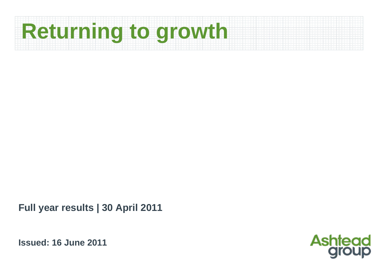# **Returning to growth**

**Full year results | 30 April 2011**

**Issued: 16 June 2011**

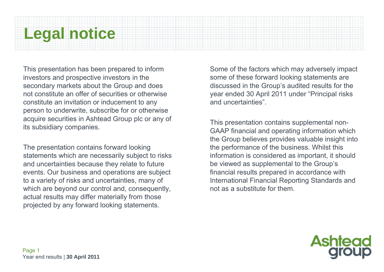# **Legal notice**

This presentation has been prepared to inform investors and prospective investors in the secondary markets about the Group and does not constitute an offer of securities or otherwise constitute an invitation or inducement to any person to underwrite, subscribe for or otherwise acquire securities in Ashtead Group plc or any of its subsidiary companies.

The presentation contains forward looking statements which are necessarily subject to risks and uncertainties because they relate to future events. Our business and operations are subject to a variety of risks and uncertainties, many of which are beyond our control and, consequently, actual results may differ materially from those projected by any forward looking statements.

Some of the factors which may adversely impact some of these forward looking statements are discussed in the Group's audited results for the year ended 30 April 2011 under "Principal risks and uncertainties".

This presentation contains supplemental non-GAAP financial and operating information which the Group believes provides valuable insight into the performance of the business. Whilst this information is considered as important, it should be viewed as supplemental to the Group's financial results prepared in accordance with International Financial Reporting Standards and not as a substitute for them.

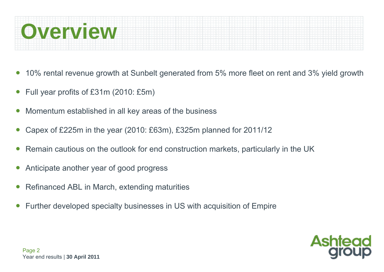

- ●10% rental revenue growth at Sunbelt generated from 5% more fleet on rent and 3% yield growth
- ●Full year profits of £31m (2010: £5m)
- ●Momentum established in all key areas of the business
- ●Capex of £225m in the year (2010: £63m), £325m planned for 2011/12
- ●Remain cautious on the outlook for end construction markets, particularly in the UK
- ●Anticipate another year of good progress
- ●Refinanced ABL in March, extending maturities
- ●Further developed specialty businesses in US with acquisition of Empire

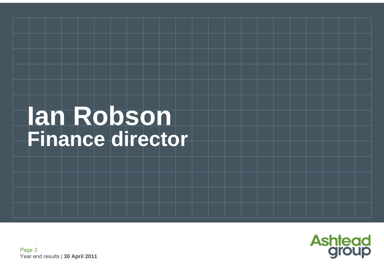# **Ian Robson Finance director**

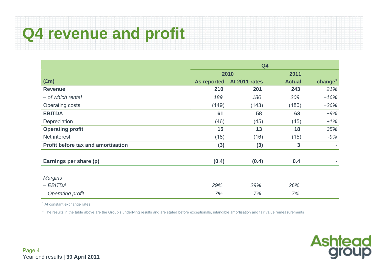# **Q4 revenue and profit**

|                                           | Q <sub>4</sub>     |               |               |            |  |
|-------------------------------------------|--------------------|---------------|---------------|------------|--|
|                                           |                    | 2010          | 2011          |            |  |
| $(\text{Em})$                             | <b>As reported</b> | At 2011 rates | <b>Actual</b> | change $1$ |  |
| <b>Revenue</b>                            | 210                | 201           | 243           | $+21%$     |  |
| - of which rental                         | 189                | 180           | 209           | $+16%$     |  |
| Operating costs                           | (149)              | (143)         | (180)         | $+26%$     |  |
| <b>EBITDA</b>                             | 61                 | 58            | 63            | $+9%$      |  |
| Depreciation                              | (46)               | (45)          | (45)          | $+1%$      |  |
| <b>Operating profit</b>                   | 15                 | 13            | 18            | $+35%$     |  |
| Net interest                              | (18)               | (16)          | (15)          | $-9%$      |  |
| <b>Profit before tax and amortisation</b> | (3)                | (3)           | $\mathbf{3}$  |            |  |
| Earnings per share (p)                    | (0.4)              | (0.4)         | 0.4           |            |  |
| <b>Margins</b>                            |                    |               |               |            |  |
| $-EBITDA$                                 | 29%                | 29%           | 26%           |            |  |
| - Operating profit                        | 7%                 | 7%            | 7%            |            |  |

<sup>1</sup> At constant exchange rates

 $2$  The results in the table above are the Group's underlying results and are stated before exceptionals, intangible amortisation and fair value remeasurements

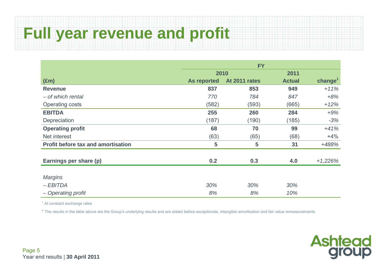## **Full year revenue and profit**

|                                           | <b>FY</b>          |                |               |           |  |
|-------------------------------------------|--------------------|----------------|---------------|-----------|--|
|                                           | 2010               |                | 2011          |           |  |
| $(\text{Em})$                             | <b>As reported</b> | At 2011 rates  | <b>Actual</b> | $change1$ |  |
| <b>Revenue</b>                            | 837                | 853            | 949           | $+11%$    |  |
| - of which rental                         | 770                | 784            | 847           | $+8%$     |  |
| <b>Operating costs</b>                    | (582)              | (593)          | (665)         | $+12%$    |  |
| <b>EBITDA</b>                             | 255                | 260            | 284           | $+9%$     |  |
| Depreciation                              | (187)              | (190)          | (185)         | $-3%$     |  |
| <b>Operating profit</b>                   | 68                 | 70             | 99            | $+41%$    |  |
| Net interest                              | (63)               | (65)           | (68)          | $+4%$     |  |
| <b>Profit before tax and amortisation</b> | 5                  | $5\phantom{1}$ | 31            | +488%     |  |
| Earnings per share (p)                    | 0.2                | 0.3            | 4.0           | $+1,226%$ |  |
|                                           |                    |                |               |           |  |
| <b>Margins</b>                            |                    |                |               |           |  |
| $-EBITDA$                                 | 30%                | 30%            | 30%           |           |  |
| - Operating profit                        | 8%                 | 8%             | 10%           |           |  |

<sup>1</sup> At constant exchange rates

 $2$  The results in the table above are the Group's underlying results and are stated before exceptionals, intangible amortisation and fair value remeasurements

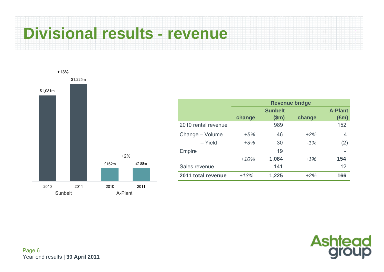# **Divisional results - revenue**



|                     | <b>Revenue bridge</b> |                |        |                |  |  |  |
|---------------------|-----------------------|----------------|--------|----------------|--|--|--|
|                     |                       | <b>Sunbelt</b> |        | <b>A-Plant</b> |  |  |  |
|                     | change                | \$m\$          | change | $(\text{Em})$  |  |  |  |
| 2010 rental revenue |                       | 989            |        | 152            |  |  |  |
| Change - Volume     | $+5%$                 | 46             | $+2%$  | 4              |  |  |  |
| - Yield             | $+3%$                 | 30             | $-1%$  | (2)            |  |  |  |
| Empire              |                       | 19             |        |                |  |  |  |
|                     | $+10%$                | 1,084          | $+1%$  | 154            |  |  |  |
| Sales revenue       |                       | 141            |        | 12             |  |  |  |
| 2011 total revenue  | $+13%$                | 1,225          | $+2\%$ | 166            |  |  |  |

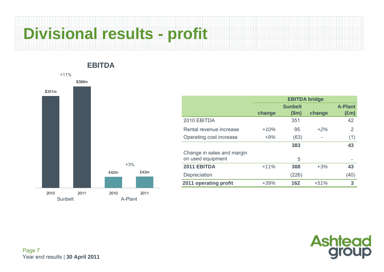# **Divisional results - profit**

**EBITDA**

### £42m £43m \$388m \$351m 2010 2011 2010 2011Sunbelt **A-Plant**  $+11%$ +3%

|                            | <b>EBITDA bridge</b> |                |        |                |  |  |  |
|----------------------------|----------------------|----------------|--------|----------------|--|--|--|
|                            |                      | <b>Sunbelt</b> |        | <b>A-Plant</b> |  |  |  |
|                            | change               | \$m\$          | change | $(\text{Em})$  |  |  |  |
| 2010 EBITDA                |                      | 351            |        | 42             |  |  |  |
| Rental revenue increase    | $+10%$               | 95             | $+2\%$ | $\overline{2}$ |  |  |  |
| Operating cost increase    | $+9%$                | (63)           |        | (1)            |  |  |  |
|                            |                      | 383            |        | 43             |  |  |  |
| Change in sales and margin |                      |                |        |                |  |  |  |
| on used equipment          |                      | 5              |        |                |  |  |  |
| 2011 EBITDA                | $+11%$               | 388            | $+3%$  | 43             |  |  |  |
| Depreciation               |                      | (226)          |        | (40)           |  |  |  |
| 2011 operating profit      | $+39%$               | 162            | $+51%$ | 3              |  |  |  |

# **Ashtead**<br>**group**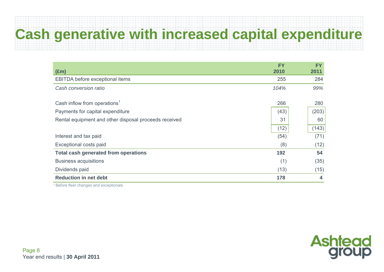### **Cash generative with increased capital expenditure**

| $(\text{Em})$                                         | <b>FY</b><br>2010 | <b>FY</b><br>2011 |
|-------------------------------------------------------|-------------------|-------------------|
| EBITDA before exceptional items                       | 255               | 284               |
| Cash conversion ratio                                 | 104%              | 99%               |
| Cash inflow from operations <sup>1</sup>              | 266               | 280               |
| Payments for capital expenditure                      | (43)              | (203)             |
| Rental equipment and other disposal proceeds received | 31                | 60                |
|                                                       | (12)              | (143)             |
| Interest and tax paid                                 | (54)              | (71)              |
| Exceptional costs paid                                | (8)               | (12)              |
| <b>Total cash generated from operations</b>           | 192               | 54                |
| <b>Business acquisitions</b>                          | (1)               | (35)              |
| Dividends paid                                        | (13)              | (15)              |
| <b>Reduction in net debt</b>                          | 178               | 4                 |

1 Before fleet changes and exceptionals

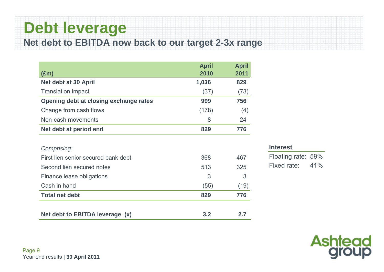### **Debt leverage Net debt to EBITDA now back to our target 2-3x range**

| $(\text{Em})$                          | <b>April</b><br>2010 | <b>April</b><br>2011 |
|----------------------------------------|----------------------|----------------------|
| Net debt at 30 April                   | 1,036                | 829                  |
| <b>Translation impact</b>              | (37)                 | (73)                 |
| Opening debt at closing exchange rates | 999                  | 756                  |
| Change from cash flows                 | (178)                | (4)                  |
| Non-cash movements                     | 8                    | 24                   |
| Net debt at period end                 | 829                  | 776                  |
|                                        |                      |                      |
| Comprising:                            |                      |                      |
| First lien senior secured bank debt    | 368                  | 467                  |
| Second lien secured notes              | 513                  | 325                  |
| Finance lease obligations              | 3                    | 3                    |
| Cash in hand                           | (55)                 | (19)                 |
| <b>Total net debt</b>                  | 829                  | 776                  |

Net debt to EBITDA leverage (x) 3.2 2.7

#### **Interest**

Floating rate: 59% Fixed rate: 41%

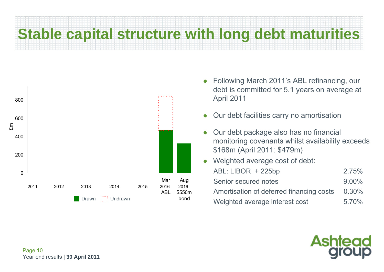# **Stable capital structure with long debt maturities**



- Following March 2011's ABL refinancing, our debt is committed for 5.1 years on average at April 2011
- $\bullet$ Our debt facilities carry no amortisation
- $\bullet$  Our debt package also has no financial monitoring covenants whilst availability exceeds \$168m (April 2011: \$479m)
- $\bullet$  Weighted average cost of debt: ABL: LIBOR + 225bp 2.75% Senior secured notes 9.00%Amortisation of deferred financing costs 0.30% Weighted average interest cost 5.70%

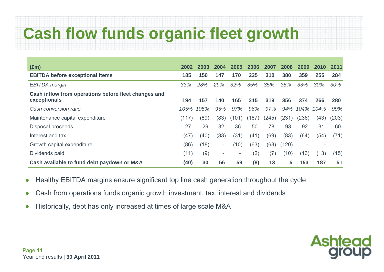# **Cash flow funds organic fleet growth**

| $(\text{Em})$                                                        | 2002  | 2003 | 2004                     | 2005                     | 2006  | 2007  | 2008  | 2009                         | 2010 | 2011  |
|----------------------------------------------------------------------|-------|------|--------------------------|--------------------------|-------|-------|-------|------------------------------|------|-------|
| <b>EBITDA before exceptional items</b>                               | 185   | 150  | 147                      | 170                      | 225   | 310   | 380   | 359                          | 255  | 284   |
| <b>EBITDA</b> margin                                                 | 33%   | 28%  | 29%                      | 32%                      | 35%   | 35%   | 38%   | 33%                          | 30%  | 30%   |
| Cash inflow from operations before fleet changes and<br>exceptionals | 194   | 157  | 140                      | 165                      | 215   | 319   | 356   | 374                          | 266  | 280   |
| Cash conversion ratio                                                | 105%  | 105% | 95%                      | 97%                      | 96%   | 97%   | 94%   | 104%                         | 104% | 99%   |
| Maintenance capital expenditure                                      | (117) | (89) | (83)                     | (101)                    | (167) | (245) | (231) | (236)                        | (43) | (203) |
| Disposal proceeds                                                    | 27    | 29   | 32                       | 36                       | 50    | 78    | 93    | 92                           | 31   | 60    |
| Interest and tax                                                     | (47)  | (40) | (33)                     | (31)                     | (41)  | (69)  | (83)  | (64)                         | (54) | (71)  |
| Growth capital expenditure                                           | (86)  | (18) | $\overline{\phantom{a}}$ | (10)                     | (63)  | (63)  | (120) | $\qquad \qquad \blacksquare$ |      |       |
| Dividends paid                                                       | (11)  | (9)  | $\overline{\phantom{a}}$ | $\overline{\phantom{a}}$ | (2)   | (7)   | (10)  | (13)                         | (13) | (15)  |
| Cash available to fund debt paydown or M&A                           | (40)  | 30   | 56                       | 59                       | (8)   | 13    | 5     | 153                          | 187  | 51    |

- $\bullet$ Healthy EBITDA margins ensure significant top line cash generation throughout the cycle
- $\bullet$ Cash from operations funds organic growth investment, tax, interest and dividends
- $\bullet$ Historically, debt has only increased at times of large scale M&A

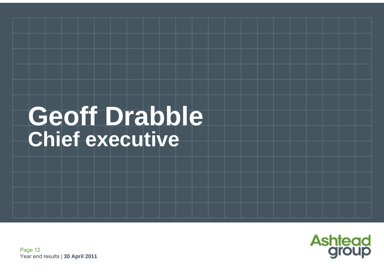# Geoff Drabble **Chief executive**

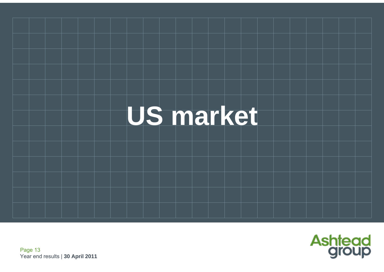

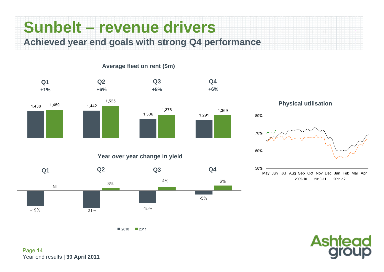### **Sunbelt – revenue drivers Achieved year end goals with strong Q4 performance**

**Average fleet on rent (\$m)**

1,438 <sup>1,459</sup> 1,442 1,306 1,291 1,459 1,525 1,376 1,369 **Q2 +1% +6% Q3 +5%Q1 Q4 +6%**

**Year over year change in yield**



**Physical utilisation**





 $2010$  2011

Page 14 Year end results | **30 April 2011**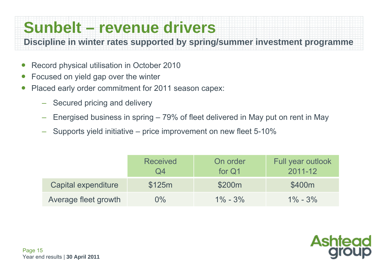## **Sunbelt – revenue drivers**

**Discipline in winter rates supported by spring/summer investment programme**

- $\bullet$ Record physical utilisation in October 2010
- ●Focused on yield gap over the winter
- ● Placed early order commitment for 2011 season capex:
	- Secured pricing and delivery
	- Energised business in spring 79% of fleet delivered in May put on rent in May
	- Supports yield initiative price improvement on new fleet 5-10%

|                      | <b>Received</b><br>Q4 | On order<br>for Q1 | Full year outlook<br>2011-12 |
|----------------------|-----------------------|--------------------|------------------------------|
| Capital expenditure  | \$125m                | \$200m             | \$400m                       |
| Average fleet growth | 0%                    | $1\% - 3\%$        | $1\% - 3\%$                  |

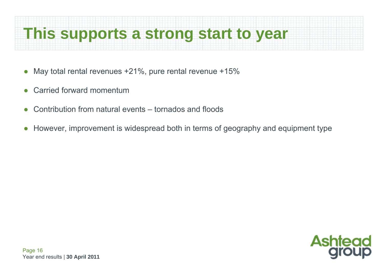### **This supports a strong start to year**

- $\bullet$ May total rental revenues +21%, pure rental revenue +15%
- ●Carried forward momentum
- ●Contribution from natural events – tornados and floods
- ●However, improvement is widespread both in terms of geography and equipment type

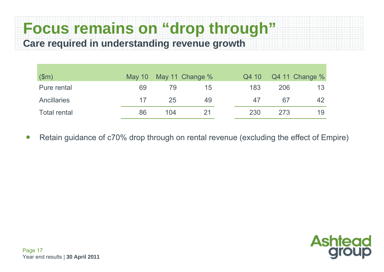### **Focus remains on "drop through" Care required in understanding revenue growth**

| \$m\$               | May $10$ |     | May 11 Change % | Q4 10 |     | Q4 11 Change % |
|---------------------|----------|-----|-----------------|-------|-----|----------------|
| Pure rental         | 69       | 79  | 15              | 183   | 206 | 13             |
| <b>Ancillaries</b>  | 17       | 25  | 49              | 47    | 67  | 42             |
| <b>Total rental</b> | 86       | 104 | 21              | 230   | 273 | 19             |

●Retain guidance of c70% drop through on rental revenue (excluding the effect of Empire)

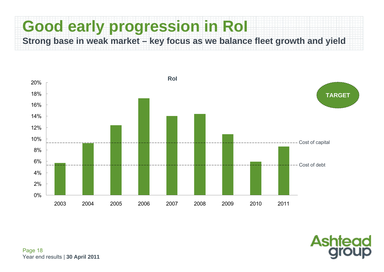### **Good early progression in RoI Strong base in weak market – key focus as we balance fleet growth and yield**



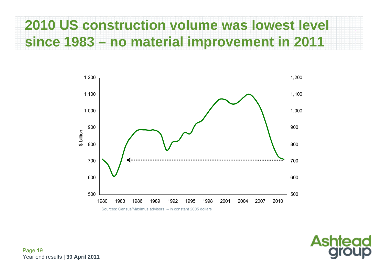### **2010 US construction volume was lowest level since 1983 – no material improvement in 2011**



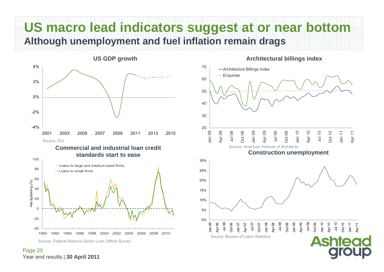### **US macro lead indicators suggest at or near bottom Although unemployment and fuel inflation remain drags**



#### **Commercial and industrial loan credit standards start to ease**



Page 20 Year end results | **30 April 2011**

#### **Architectural billings index**

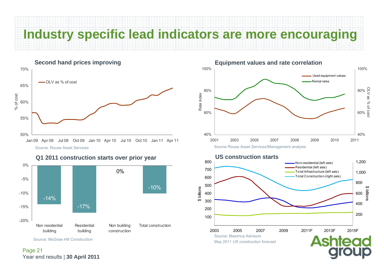### **Industry specific lead indicators are more encouraging**





**Q1 2011 construction starts over prior year US construction starts**

Source: McGraw Hill Construction

#### Page 21 Year end results | **30 April 2011**



2003 2005 2007 2009 2011F 2013F 2015F2015F Source: Maximus Advisors May 2011 US construction forecast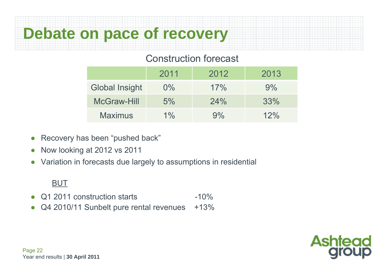## **Debate on pace of recovery**

### Construction forecast

|                       | 2011  | 2012 | 2013 |
|-----------------------|-------|------|------|
| <b>Global Insight</b> | $0\%$ | 17%  | 9%   |
| <b>McGraw-Hill</b>    | 5%    | 24%  | 33%  |
| <b>Maximus</b>        | $1\%$ | 9%   | 12%  |

- ●Recovery has been "pushed back"
- ●Now looking at 2012 vs 2011
- ●Variation in forecasts due largely to assumptions in residential

#### BUT

- ●Q1 2011 construction starts -10%
- ●Q4 2010/11 Sunbelt pure rental revenues +13%

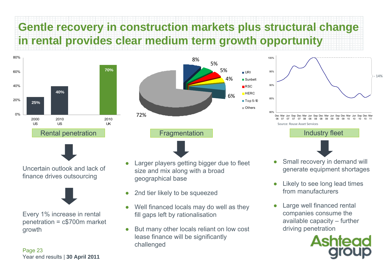### **Gentle recovery in construction markets plus structural change in rental provides clear medium term growth opportunity**





Uncertain outlook and lack of finance drives outsourcing



Every 1% increase in rental penetration = c\$700m market growth

Page 23 Year end results | **30 April 2011**

5%5%4%6%72%8%Rental penetration **Industry fleet** Fragmentation **Industry fleet** Industry fleet

URI

Sunbelt **RSC**  $HERC$ ■ Top 5-10 Others

80%85%90%95%100%Dec06Mar07 07 07 JunSep DecMar08Jun08Sep 08Dec08Mar09Jun09Sep 09Dec09Mar10Jun10Sep 10Dec10Mar11‐ 14%Source: Rouse Asset Services

- 
- ● Larger players getting bigger due to fleet size and mix along with a broad geographical base
- $\bullet$ 2nd tier likely to be squeezed
- ● Well financed locals may do well as they fill gaps left by rationalisation
- $\bullet$  But many other locals reliant on low cost lease finance will be significantly challenged
- ● Small recovery in demand will generate equipment shortages
- ● Likely to see long lead times from manufacturers
- ● Large well financed rental companies consume the available capacity – further driving penetration

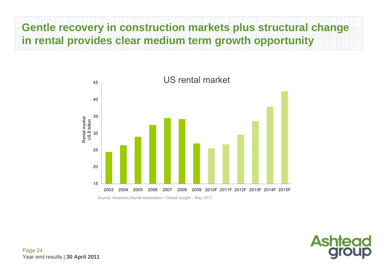### **Gentle recovery in construction markets plus structural change in rental provides clear medium term growth opportunity**



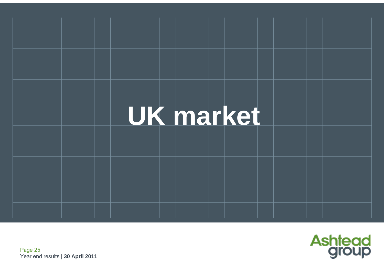

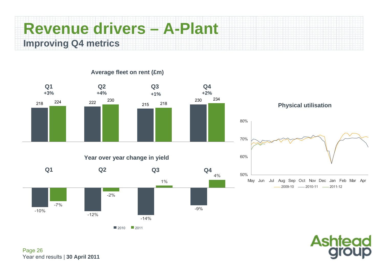### **Revenue drivers – A-Plant Improving Q4 metrics**



#### **Average fleet on rent (£m)**

Page 26 Year end results | **30 April 2011**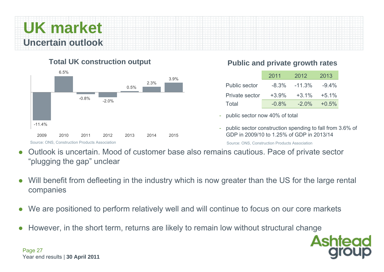

#### **Total UK construction output**



#### **Public and private growth rates**

|                      | 2011    | 2012     | 2013     |
|----------------------|---------|----------|----------|
| <b>Public sector</b> | $-8.3%$ | $-11.3%$ | $-9.4\%$ |
| Private sector       | $+3.9%$ | $+3.1%$  | $+5.1%$  |
| Total                | $-0.8%$ | $-2.0\%$ | $+0.5%$  |

- public sector now 40% of total
- public sector construction spending to fall from 3.6% of GDP in 2009/10 to 1.25% of GDP in 2013/14

Source: ONS, Construction Products Association

- $\bullet$  Outlook is uncertain. Mood of customer base also remains cautious. Pace of private sector "plugging the gap" unclear
- $\bullet$  Will benefit from defleeting in the industry which is now greater than the US for the large rental companies
- $\bullet$ We are positioned to perform relatively well and will continue to focus on our core markets
- $\bullet$ However, in the short term, returns are likely to remain low without structural change



Page 27 Year end results | **30 April 2011**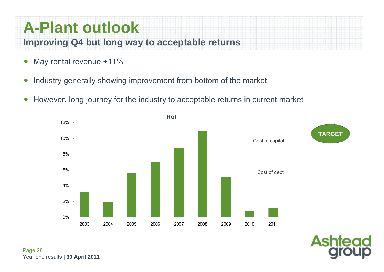### **A-Plant outlook Improving Q4 but long way to acceptable returns**

- ●May rental revenue +11%
- ●Industry generally showing improvement from bottom of the market
- ●However, long journey for the industry to acceptable returns in current market

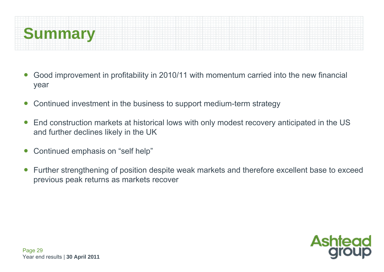

- ● Good improvement in profitability in 2010/11 with momentum carried into the new financial year
- ●Continued investment in the business to support medium-term strategy
- $\bullet$  End construction markets at historical lows with only modest recovery anticipated in the US and further declines likely in the UK
- $\bullet$ Continued emphasis on "self help"
- ● Further strengthening of position despite weak markets and therefore excellent base to exceed previous peak returns as markets recover

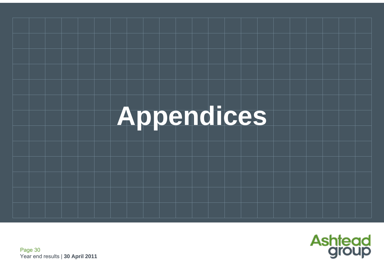

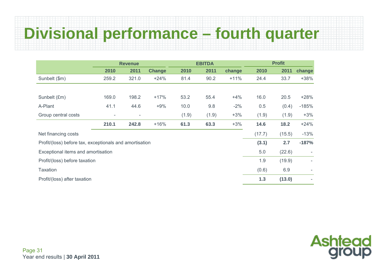## **Divisional performance – fourth quarter**

|                                                         | <b>Revenue</b>           |                          |               | <b>EBITDA</b> |       |        | <b>Profit</b> |        |         |
|---------------------------------------------------------|--------------------------|--------------------------|---------------|---------------|-------|--------|---------------|--------|---------|
|                                                         | 2010                     | 2011                     | <b>Change</b> | 2010          | 2011  | change | 2010          | 2011   | change  |
| Sunbelt (\$m)                                           | 259.2                    | 321.0                    | $+24%$        | 81.4          | 90.2  | $+11%$ | 24.4          | 33.7   | $+38%$  |
|                                                         |                          |                          |               |               |       |        |               |        |         |
| Sunbelt (£m)                                            | 169.0                    | 198.2                    | $+17%$        | 53.2          | 55.4  | $+4%$  | 16.0          | 20.5   | $+28%$  |
| A-Plant                                                 | 41.1                     | 44.6                     | $+9%$         | 10.0          | 9.8   | $-2%$  | 0.5           | (0.4)  | $-185%$ |
| Group central costs                                     | $\overline{\phantom{0}}$ | $\overline{\phantom{a}}$ |               | (1.9)         | (1.9) | $+3%$  | (1.9)         | (1.9)  | $+3%$   |
|                                                         | 210.1                    | 242.8                    | $+16%$        | 61.3          | 63.3  | $+3%$  | 14.6          | 18.2   | $+24%$  |
| Net financing costs                                     |                          |                          |               |               |       |        | (17.7)        | (15.5) | $-13%$  |
| Profit/(loss) before tax, exceptionals and amortisation |                          |                          |               |               |       |        | (3.1)         | 2.7    | $-187%$ |
| Exceptional items and amortisation                      |                          |                          |               |               |       |        | 5.0           | (22.6) |         |
| Profit/(loss) before taxation                           |                          |                          |               |               |       |        | 1.9           | (19.9) |         |
| <b>Taxation</b>                                         |                          |                          |               |               |       |        | (0.6)         | 6.9    |         |
| Profit/(loss) after taxation                            |                          |                          |               |               |       |        | 1.3           | (13.0) |         |

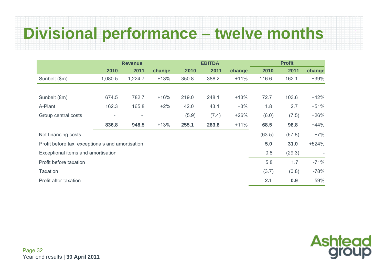# **Divisional performance – twelve months**

|                                                  | <b>Revenue</b>           |         |        | <b>EBITDA</b> |       |        | <b>Profit</b> |        |         |
|--------------------------------------------------|--------------------------|---------|--------|---------------|-------|--------|---------------|--------|---------|
|                                                  | 2010                     | 2011    | change | 2010          | 2011  | change | 2010          | 2011   | change  |
| Sunbelt (\$m)                                    | 1,080.5                  | 1,224.7 | $+13%$ | 350.8         | 388.2 | $+11%$ | 116.6         | 162.1  | $+39%$  |
|                                                  |                          |         |        |               |       |        |               |        |         |
| Sunbelt (£m)                                     | 674.5                    | 782.7   | $+16%$ | 219.0         | 248.1 | $+13%$ | 72.7          | 103.6  | $+42%$  |
| A-Plant                                          | 162.3                    | 165.8   | $+2%$  | 42.0          | 43.1  | $+3%$  | 1.8           | 2.7    | $+51%$  |
| Group central costs                              | $\overline{\phantom{a}}$ | -       |        | (5.9)         | (7.4) | $+26%$ | (6.0)         | (7.5)  | $+26%$  |
|                                                  | 836.8                    | 948.5   | $+13%$ | 255.1         | 283.8 | $+11%$ | 68.5          | 98.8   | $+44%$  |
| Net financing costs                              |                          |         |        |               |       |        | (63.5)        | (67.8) | $+7%$   |
| Profit before tax, exceptionals and amortisation |                          |         |        |               |       |        | 5.0           | 31.0   | $+524%$ |
| Exceptional items and amortisation               |                          |         |        |               |       |        | 0.8           | (29.3) |         |
| Profit before taxation                           |                          |         |        |               |       |        | 5.8           | 1.7    | $-71%$  |
| <b>Taxation</b>                                  |                          |         |        |               |       |        | (3.7)         | (0.8)  | $-78%$  |
| Profit after taxation                            |                          |         |        |               |       |        | 2.1           | 0.9    | $-59%$  |

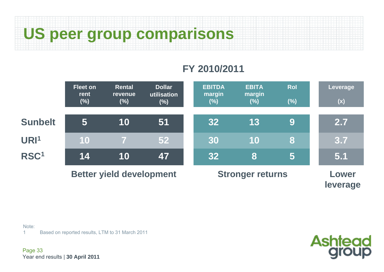**US peer group comparisons**

### **FY 2010/2011**



Note:

1Based on reported results, LTM to 31 March 2011

Page 33 Year end results | **30 April 2011**

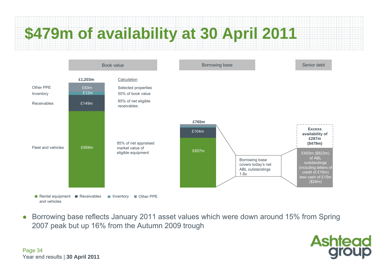# **\$479m of availability at 30 April 2011**



 $\bullet$  Borrowing base reflects January 2011 asset values which were down around 15% from Spring 2007 peak but up 16% from the Autumn 2009 trough